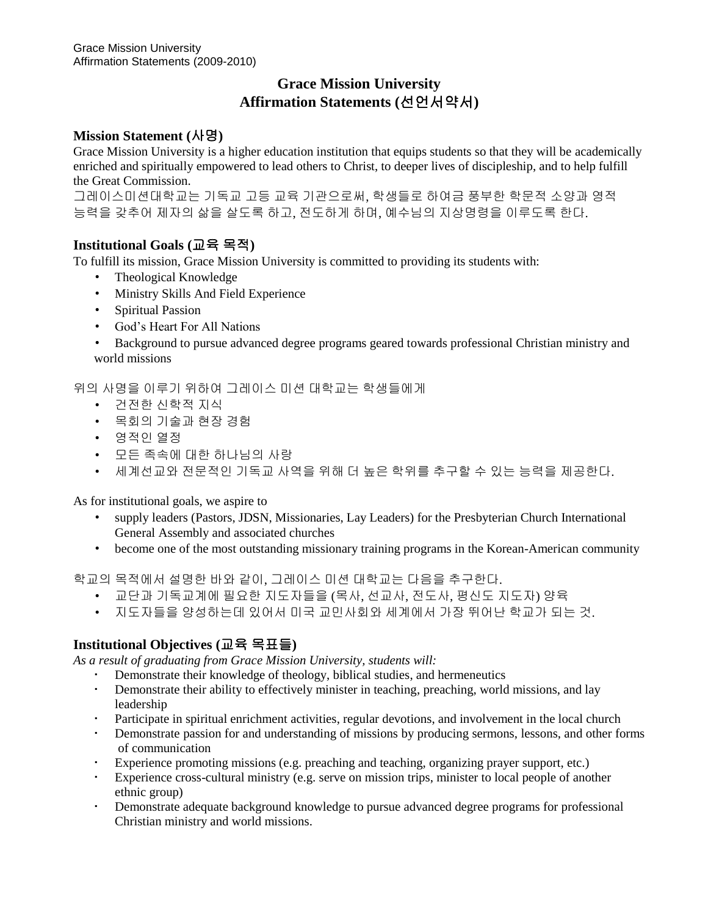# **Grace Mission University Affirmation Statements (**선언서약서**)**

# **Mission Statement (**사명**)**

Grace Mission University is a higher education institution that equips students so that they will be academically enriched and spiritually empowered to lead others to Christ, to deeper lives of discipleship, and to help fulfill the Great Commission.

그레이스미션대학교는 기독교 고등 교육 기관으로써, 학생들로 하여금 풍부한 학문적 소양과 영적 능력을 갖추어 제자의 삶을 살도록 하고, 전도하게 하며, 예수님의 지상명령을 이루도록 한다.

# **Institutional Goals (**교육 목적**)**

To fulfill its mission, Grace Mission University is committed to providing its students with:

- Theological Knowledge
- Ministry Skills And Field Experience
- Spiritual Passion
- God's Heart For All Nations
- Background to pursue advanced degree programs geared towards professional Christian ministry and world missions

위의 사명을 이루기 위하여 그레이스 미션 대학교는 학생들에게

- 건전한 신학적 지식
- 목회의 기술과 현장 경험
- 영적인 열정
- 모든 족속에 대한 하나님의 사랑
- 세계선교와 전문적인 기독교 사역을 위해 더 높은 학위를 추구할 수 있는 능력을 제공한다.

As for institutional goals, we aspire to

- supply leaders (Pastors, JDSN, Missionaries, Lay Leaders) for the Presbyterian Church International General Assembly and associated churches
- become one of the most outstanding missionary training programs in the Korean-American community

학교의 목적에서 설명한 바와 같이, 그레이스 미션 대학교는 다음을 추구한다.

- 교단과 기독교계에 필요한 지도자들을 (목사, 선교사, 전도사, 평신도 지도자) 양육
- 지도자들을 양성하는데 있어서 미국 교민사회와 세계에서 가장 뛰어난 학교가 되는 것.

# **Institutional Objectives (**교육 목표들**)**

*As a result of graduating from Grace Mission University, students will:* 

- Demonstrate their knowledge of theology, biblical studies, and hermeneutics<br>Demonstrate their ability to effectively minister in teaching preaching world
- Demonstrate their ability to effectively minister in teaching, preaching, world missions, and lay leadership
- Participate in spiritual enrichment activities, regular devotions, and involvement in the local church
- Demonstrate passion for and understanding of missions by producing sermons, lessons, and other forms of communication
- Experience promoting missions (e.g. preaching and teaching, organizing prayer support, etc.)
- Experience cross-cultural ministry (e.g. serve on mission trips, minister to local people of another ethnic group)
- Demonstrate adequate background knowledge to pursue advanced degree programs for professional Christian ministry and world missions.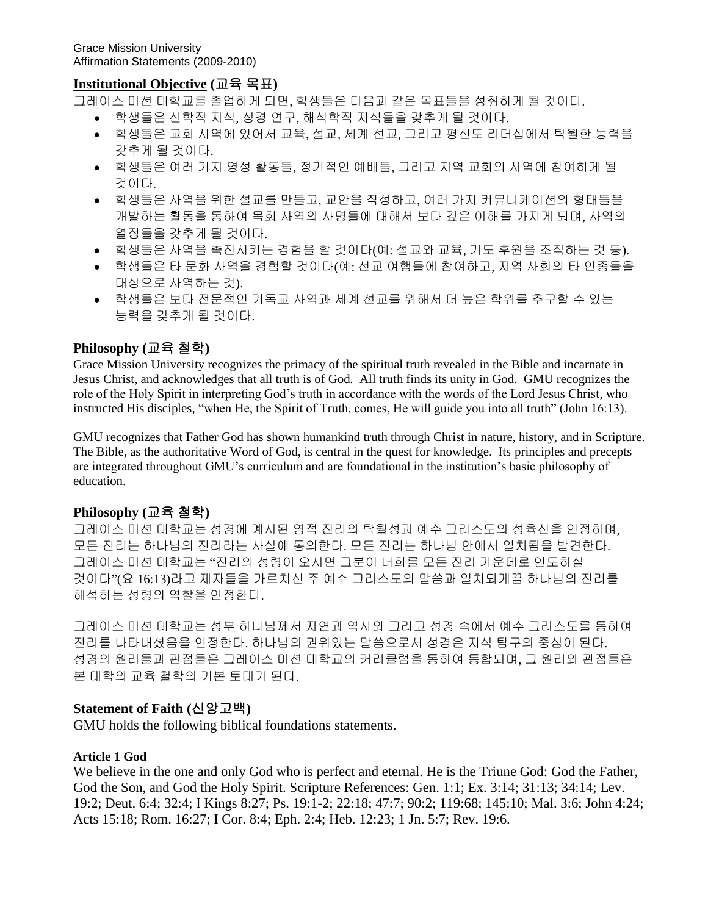## **Institutional Objective (**교육 목표**)**

그레이스 미션 대학교를 졸업하게 되면, 학생들은 다음과 같은 목표들을 성취하게 될 것이다.

- 학생들은 신학적 지식, 성경 연구, 해석학적 지식들을 갖추게 될 것이다.
- 학생들은 교회 사역에 있어서 교육, 설교, 세계 선교, 그리고 평신도 리더십에서 탁월한 능력을 갖추게 될 것이다.
- 학생들은 여러 가지 영성 활동들, 정기적인 예배들, 그리고 지역 교회의 사역에 참여하게 될 것이다.
- 학생들은 사역을 위한 설교를 만들고, 교안을 작성하고, 여러 가지 커뮤니케이션의 형태들을 개발하는 활동을 통하여 목회 사역의 사명들에 대해서 보다 깊은 이해를 가지게 되며, 사역의 열정들을 갖추게 될 것이다.
- 학생들은 사역을 촉진시키는 경험을 할 것이다(예: 설교와 교육, 기도 후원을 조직하는 것 등).
- 학생들은 타 문화 사역을 경험할 것이다(예: 선교 여행들에 참여하고, 지역 사회의 타 인종들을 대상으로 사역하는 것).
- 학생들은 보다 전문적인 기독교 사역과 세계 선교를 위해서 더 높은 학위를 추구할 수 있는 능력을 갖추게 될 것이다.

### **Philosophy (**교육 철학**)**

Grace Mission University recognizes the primacy of the spiritual truth revealed in the Bible and incarnate in Jesus Christ, and acknowledges that all truth is of God. All truth finds its unity in God. GMU recognizes the role of the Holy Spirit in interpreting God's truth in accordance with the words of the Lord Jesus Christ, who instructed His disciples, "when He, the Spirit of Truth, comes, He will guide you into all truth" (John 16:13).

GMU recognizes that Father God has shown humankind truth through Christ in nature, history, and in Scripture. The Bible, as the authoritative Word of God, is central in the quest for knowledge. Its principles and precepts are integrated throughout GMU's curriculum and are foundational in the institution's basic philosophy of education.

#### **Philosophy (**교육 철학**)**

그레이스 미션 대학교는 성경에 계시된 영적 진리의 탁월성과 예수 그리스도의 성육신을 인정하며, 모든 진리는 하나님의 진리라는 사실에 동의한다. 모든 진리는 하나님 안에서 일치됨을 발견한다. 그레이스 미션 대학교는 "진리의 성령이 오시면 그분이 너희를 모든 진리 가운데로 인도하실 것이다"(요 16:13)라고 제자들을 가르치신 주 예수 그리스도의 말씀과 일치되게끔 하나님의 진리를 해석하는 성령의 역할을 인정한다.

그레이스 미션 대학교는 성부 하나님께서 자연과 역사와 그리고 성경 속에서 예수 그리스도를 통하여 진리를 나타내셨음을 인정한다. 하나님의 권위있는 말씀으로서 성경은 지식 탐구의 중심이 된다. 성경의 원리들과 관점들은 그레이스 미션 대학교의 커리큘럼을 통하여 통합되며, 그 원리와 관점들은 본 대학의 교육 철학의 기본 토대가 된다.

#### **Statement of Faith (**신앙고백**)**

GMU holds the following biblical foundations statements.

#### **Article 1 God**

We believe in the one and only God who is perfect and eternal. He is the Triune God: God the Father, God the Son, and God the Holy Spirit. Scripture References: Gen. 1:1; Ex. 3:14; 31:13; 34:14; Lev. 19:2; Deut. 6:4; 32:4; I Kings 8:27; Ps. 19:1-2; 22:18; 47:7; 90:2; 119:68; 145:10; Mal. 3:6; John 4:24; Acts 15:18; Rom. 16:27; I Cor. 8:4; Eph. 2:4; Heb. 12:23; 1 Jn. 5:7; Rev. 19:6.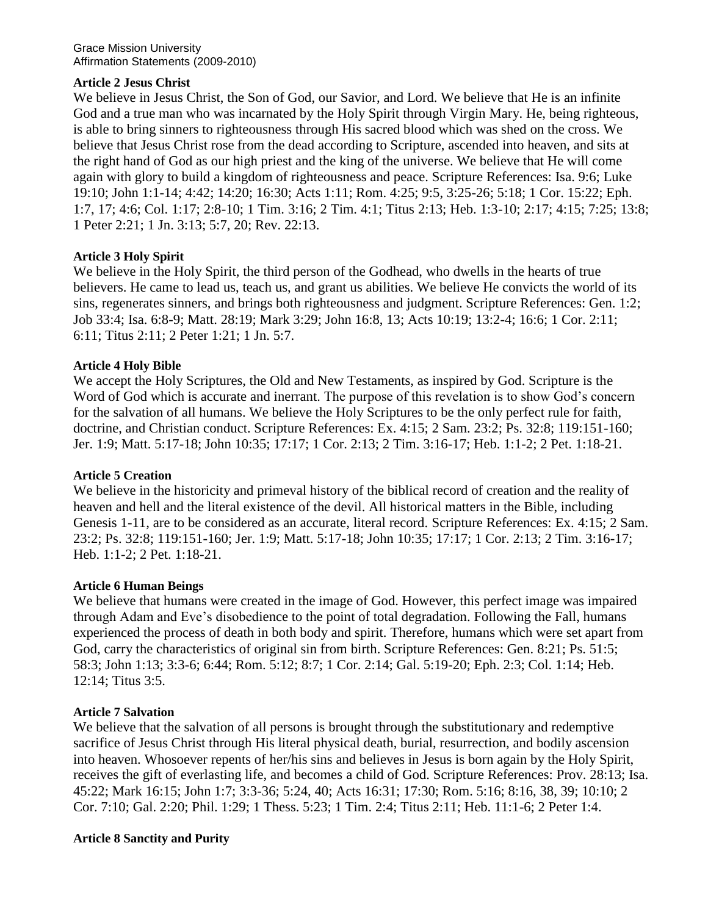### **Article 2 Jesus Christ**

We believe in Jesus Christ, the Son of God, our Savior, and Lord. We believe that He is an infinite God and a true man who was incarnated by the Holy Spirit through Virgin Mary. He, being righteous, is able to bring sinners to righteousness through His sacred blood which was shed on the cross. We believe that Jesus Christ rose from the dead according to Scripture, ascended into heaven, and sits at the right hand of God as our high priest and the king of the universe. We believe that He will come again with glory to build a kingdom of righteousness and peace. Scripture References: Isa. 9:6; Luke 19:10; John 1:1-14; 4:42; 14:20; 16:30; Acts 1:11; Rom. 4:25; 9:5, 3:25-26; 5:18; 1 Cor. 15:22; Eph. 1:7, 17; 4:6; Col. 1:17; 2:8-10; 1 Tim. 3:16; 2 Tim. 4:1; Titus 2:13; Heb. 1:3-10; 2:17; 4:15; 7:25; 13:8; 1 Peter 2:21; 1 Jn. 3:13; 5:7, 20; Rev. 22:13.

### **Article 3 Holy Spirit**

We believe in the Holy Spirit, the third person of the Godhead, who dwells in the hearts of true believers. He came to lead us, teach us, and grant us abilities. We believe He convicts the world of its sins, regenerates sinners, and brings both righteousness and judgment. Scripture References: Gen. 1:2; Job 33:4; Isa. 6:8-9; Matt. 28:19; Mark 3:29; John 16:8, 13; Acts 10:19; 13:2-4; 16:6; 1 Cor. 2:11; 6:11; Titus 2:11; 2 Peter 1:21; 1 Jn. 5:7.

### **Article 4 Holy Bible**

We accept the Holy Scriptures, the Old and New Testaments, as inspired by God. Scripture is the Word of God which is accurate and inerrant. The purpose of this revelation is to show God's concern for the salvation of all humans. We believe the Holy Scriptures to be the only perfect rule for faith, doctrine, and Christian conduct. Scripture References: Ex. 4:15; 2 Sam. 23:2; Ps. 32:8; 119:151-160; Jer. 1:9; Matt. 5:17-18; John 10:35; 17:17; 1 Cor. 2:13; 2 Tim. 3:16-17; Heb. 1:1-2; 2 Pet. 1:18-21.

#### **Article 5 Creation**

We believe in the historicity and primeval history of the biblical record of creation and the reality of heaven and hell and the literal existence of the devil. All historical matters in the Bible, including Genesis 1-11, are to be considered as an accurate, literal record. Scripture References: Ex. 4:15; 2 Sam. 23:2; Ps. 32:8; 119:151-160; Jer. 1:9; Matt. 5:17-18; John 10:35; 17:17; 1 Cor. 2:13; 2 Tim. 3:16-17; Heb. 1:1-2; 2 Pet. 1:18-21.

#### **Article 6 Human Beings**

We believe that humans were created in the image of God. However, this perfect image was impaired through Adam and Eve's disobedience to the point of total degradation. Following the Fall, humans experienced the process of death in both body and spirit. Therefore, humans which were set apart from God, carry the characteristics of original sin from birth. Scripture References: Gen. 8:21; Ps. 51:5; 58:3; John 1:13; 3:3-6; 6:44; Rom. 5:12; 8:7; 1 Cor. 2:14; Gal. 5:19-20; Eph. 2:3; Col. 1:14; Heb. 12:14; Titus 3:5.

#### **Article 7 Salvation**

We believe that the salvation of all persons is brought through the substitutionary and redemptive sacrifice of Jesus Christ through His literal physical death, burial, resurrection, and bodily ascension into heaven. Whosoever repents of her/his sins and believes in Jesus is born again by the Holy Spirit, receives the gift of everlasting life, and becomes a child of God. Scripture References: Prov. 28:13; Isa. 45:22; Mark 16:15; John 1:7; 3:3-36; 5:24, 40; Acts 16:31; 17:30; Rom. 5:16; 8:16, 38, 39; 10:10; 2 Cor. 7:10; Gal. 2:20; Phil. 1:29; 1 Thess. 5:23; 1 Tim. 2:4; Titus 2:11; Heb. 11:1-6; 2 Peter 1:4.

#### **Article 8 Sanctity and Purity**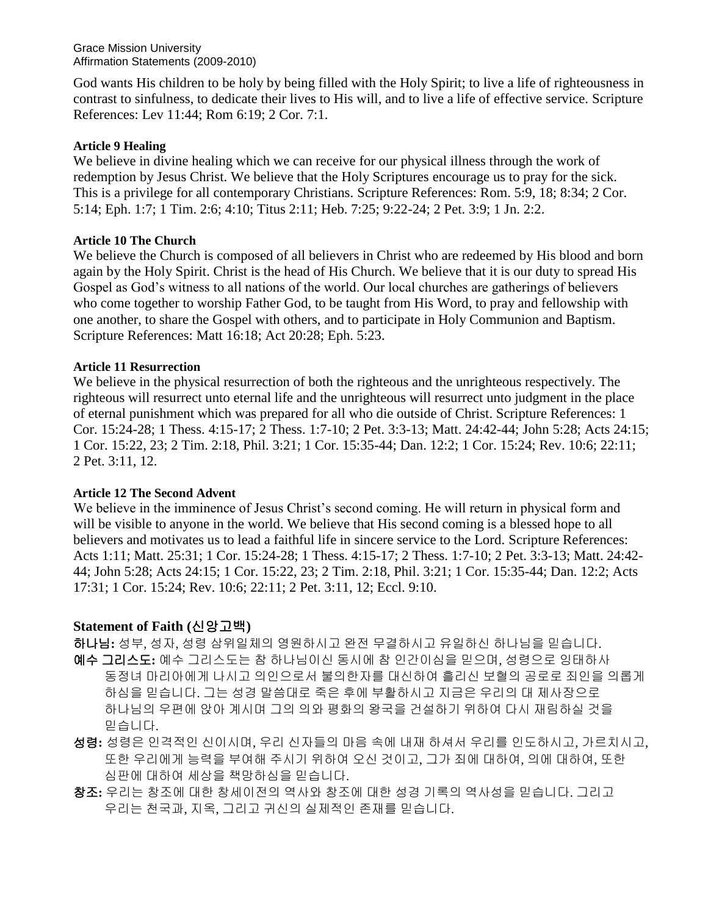Grace Mission University Affirmation Statements (2009-2010)

God wants His children to be holy by being filled with the Holy Spirit; to live a life of righteousness in contrast to sinfulness, to dedicate their lives to His will, and to live a life of effective service. Scripture References: Lev 11:44; Rom 6:19; 2 Cor. 7:1.

#### **Article 9 Healing**

We believe in divine healing which we can receive for our physical illness through the work of redemption by Jesus Christ. We believe that the Holy Scriptures encourage us to pray for the sick. This is a privilege for all contemporary Christians. Scripture References: Rom. 5:9, 18; 8:34; 2 Cor. 5:14; Eph. 1:7; 1 Tim. 2:6; 4:10; Titus 2:11; Heb. 7:25; 9:22-24; 2 Pet. 3:9; 1 Jn. 2:2.

#### **Article 10 The Church**

We believe the Church is composed of all believers in Christ who are redeemed by His blood and born again by the Holy Spirit. Christ is the head of His Church. We believe that it is our duty to spread His Gospel as God's witness to all nations of the world. Our local churches are gatherings of believers who come together to worship Father God, to be taught from His Word, to pray and fellowship with one another, to share the Gospel with others, and to participate in Holy Communion and Baptism. Scripture References: Matt 16:18; Act 20:28; Eph. 5:23.

#### **Article 11 Resurrection**

We believe in the physical resurrection of both the righteous and the unrighteous respectively. The righteous will resurrect unto eternal life and the unrighteous will resurrect unto judgment in the place of eternal punishment which was prepared for all who die outside of Christ. Scripture References: 1 Cor. 15:24-28; 1 Thess. 4:15-17; 2 Thess. 1:7-10; 2 Pet. 3:3-13; Matt. 24:42-44; John 5:28; Acts 24:15; 1 Cor. 15:22, 23; 2 Tim. 2:18, Phil. 3:21; 1 Cor. 15:35-44; Dan. 12:2; 1 Cor. 15:24; Rev. 10:6; 22:11; 2 Pet. 3:11, 12.

#### **Article 12 The Second Advent**

We believe in the imminence of Jesus Christ's second coming. He will return in physical form and will be visible to anyone in the world. We believe that His second coming is a blessed hope to all believers and motivates us to lead a faithful life in sincere service to the Lord. Scripture References: Acts 1:11; Matt. 25:31; 1 Cor. 15:24-28; 1 Thess. 4:15-17; 2 Thess. 1:7-10; 2 Pet. 3:3-13; Matt. 24:42- 44; John 5:28; Acts 24:15; 1 Cor. 15:22, 23; 2 Tim. 2:18, Phil. 3:21; 1 Cor. 15:35-44; Dan. 12:2; Acts 17:31; 1 Cor. 15:24; Rev. 10:6; 22:11; 2 Pet. 3:11, 12; Eccl. 9:10.

## **Statement of Faith (**신앙고백**)**

하나님**:** 성부, 성자, 성령 삼위일체의 영원하시고 완전 무결하시고 유일하신 하나님을 믿습니다.

- 예수 그리스도**:** 예수 그리스도는 참 하나님이신 동시에 참 인간이심을 믿으며, 성령으로 잉태하사 동정녀 마리아에게 나시고 의인으로서 불의한자를 대신하여 흘리신 보혈의 공로로 죄인을 의롭게 하심을 믿습니다. 그는 성경 말씀대로 죽은 후에 부활하시고 지금은 우리의 대 제사장으로 하나님의 우편에 앉아 계시며 그의 의와 평화의 왕국을 건설하기 위하여 다시 재림하실 것을 믿습니다.
- 성령**:** 성령은 인격적인 신이시며, 우리 신자들의 마음 속에 내재 하셔서 우리를 인도하시고, 가르치시고, 또한 우리에게 능력을 부여해 주시기 위하여 오신 것이고, 그가 죄에 대하여, 의에 대하여, 또한 심판에 대하여 세상을 책망하심을 믿습니다.
- 창조**:** 우리는 창조에 대한 창세이전의 역사와 창조에 대한 성경 기록의 역사성을 믿습니다. 그리고 우리는 천국과, 지옥, 그리고 귀신의 실제적인 존재를 믿습니다.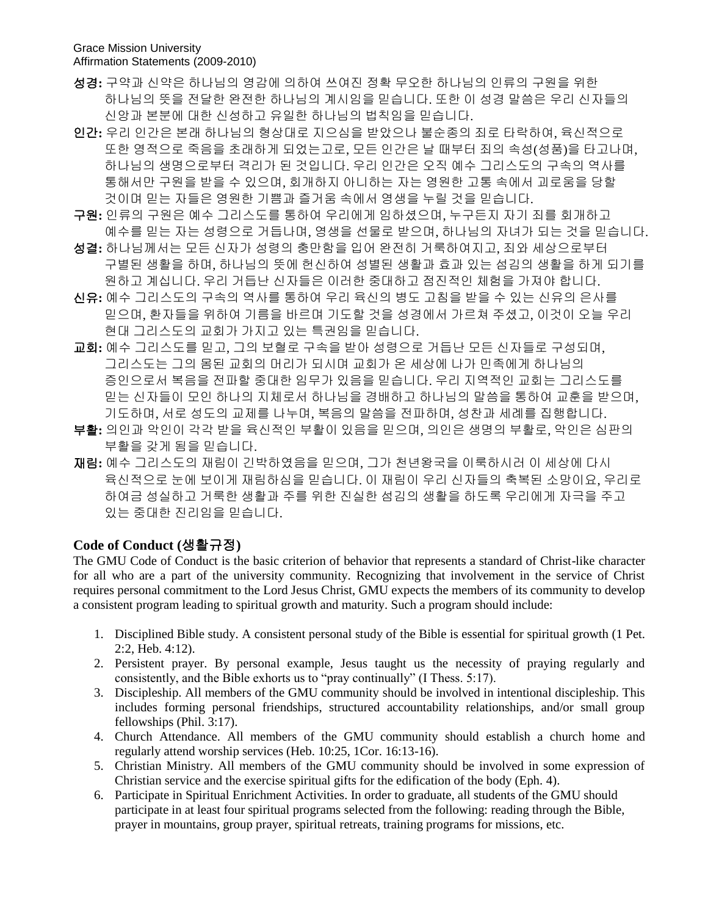- 성경**:** 구약과 신약은 하나님의 영감에 의하여 쓰여진 정확 무오한 하나님의 인류의 구원을 위한 하나님의 뜻을 전달한 완전한 하나님의 계시임을 믿습니다. 또한 이 성경 말씀은 우리 신자들의 신앙과 본분에 대한 신성하고 유일한 하나님의 법칙임을 믿습니다.
- 인간**:** 우리 인간은 본래 하나님의 형상대로 지으심을 받았으나 불순종의 죄로 타락하여, 육신적으로 또한 영적으로 죽음을 초래하게 되었는고로, 모든 인간은 날 때부터 죄의 속성(성품)을 타고나며, 하나님의 생명으로부터 격리가 된 것입니다. 우리 인간은 오직 예수 그리스도의 구속의 역사를 통해서만 구원을 받을 수 있으며, 회개하지 아니하는 자는 영원한 고통 속에서 괴로움을 당할 것이며 믿는 자들은 영원한 기쁨과 즐거움 속에서 영생을 누릴 것을 믿습니다.
- 구원**:** 인류의 구원은 예수 그리스도를 통하여 우리에게 임하셨으며, 누구든지 자기 죄를 회개하고 예수를 믿는 자는 성령으로 거듭나며, 영생을 선물로 받으며, 하나님의 자녀가 되는 것을 믿습니다.
- 성결**:** 하나님께서는 모든 신자가 성령의 충만함을 입어 완전히 거룩하여지고, 죄와 세상으로부터 구별된 생활을 하며, 하나님의 뜻에 헌신하여 성별된 생활과 효과 있는 섬김의 생활을 하게 되기를 원하고 계십니다. 우리 거듭난 신자들은 이러한 중대하고 점진적인 체험을 가져야 합니다.
- 신유**:** 예수 그리스도의 구속의 역사를 통하여 우리 육신의 병도 고침을 받을 수 있는 신유의 은사를 믿으며, 환자들을 위하여 기름을 바르며 기도할 것을 성경에서 가르쳐 주셨고, 이것이 오늘 우리 현대 그리스도의 교회가 가지고 있는 특권임을 믿습니다.
- 교회**:** 예수 그리스도를 믿고, 그의 보혈로 구속을 받아 성령으로 거듭난 모든 신자들로 구성되며, 그리스도는 그의 몸된 교회의 머리가 되시며 교회가 온 세상에 나가 민족에게 하나님의 증인으로서 복음을 전파할 중대한 임무가 있음을 믿습니다. 우리 지역적인 교회는 그리스도를 믿는 신자들이 모인 하나의 지체로서 하나님을 경배하고 하나님의 말씀을 통하여 교훈을 받으며, 기도하며, 서로 성도의 교제를 나누며, 복음의 말씀을 전파하며, 성찬과 세례를 집행합니다.
- 부활**:** 의인과 악인이 각각 받을 육신적인 부활이 있음을 믿으며, 의인은 생명의 부활로, 악인은 심판의 부활을 갖게 됨을 믿습니다.
- 재림**:** 예수 그리스도의 재림이 긴박하였음을 믿으며, 그가 천년왕국을 이룩하시러 이 세상에 다시 육신적으로 눈에 보이게 재림하심을 믿습니다. 이 재림이 우리 신자들의 축복된 소망이요, 우리로 하여금 성실하고 거룩한 생활과 주를 위한 진실한 섬김의 생활을 하도록 우리에게 자극을 주고 있는 중대한 진리임을 믿습니다.

#### **Code of Conduct (**생활규정**)**

The GMU Code of Conduct is the basic criterion of behavior that represents a standard of Christ-like character for all who are a part of the university community. Recognizing that involvement in the service of Christ requires personal commitment to the Lord Jesus Christ, GMU expects the members of its community to develop a consistent program leading to spiritual growth and maturity. Such a program should include:

- 1. Disciplined Bible study. A consistent personal study of the Bible is essential for spiritual growth (1 Pet. 2:2, Heb. 4:12).
- 2. Persistent prayer. By personal example, Jesus taught us the necessity of praying regularly and consistently, and the Bible exhorts us to "pray continually" (I Thess. 5:17).
- 3. Discipleship. All members of the GMU community should be involved in intentional discipleship. This includes forming personal friendships, structured accountability relationships, and/or small group fellowships (Phil. 3:17).
- 4. Church Attendance. All members of the GMU community should establish a church home and regularly attend worship services (Heb. 10:25, 1Cor. 16:13-16).
- 5. Christian Ministry. All members of the GMU community should be involved in some expression of Christian service and the exercise spiritual gifts for the edification of the body (Eph. 4).
- 6. Participate in Spiritual Enrichment Activities. In order to graduate, all students of the GMU should participate in at least four spiritual programs selected from the following: reading through the Bible, prayer in mountains, group prayer, spiritual retreats, training programs for missions, etc.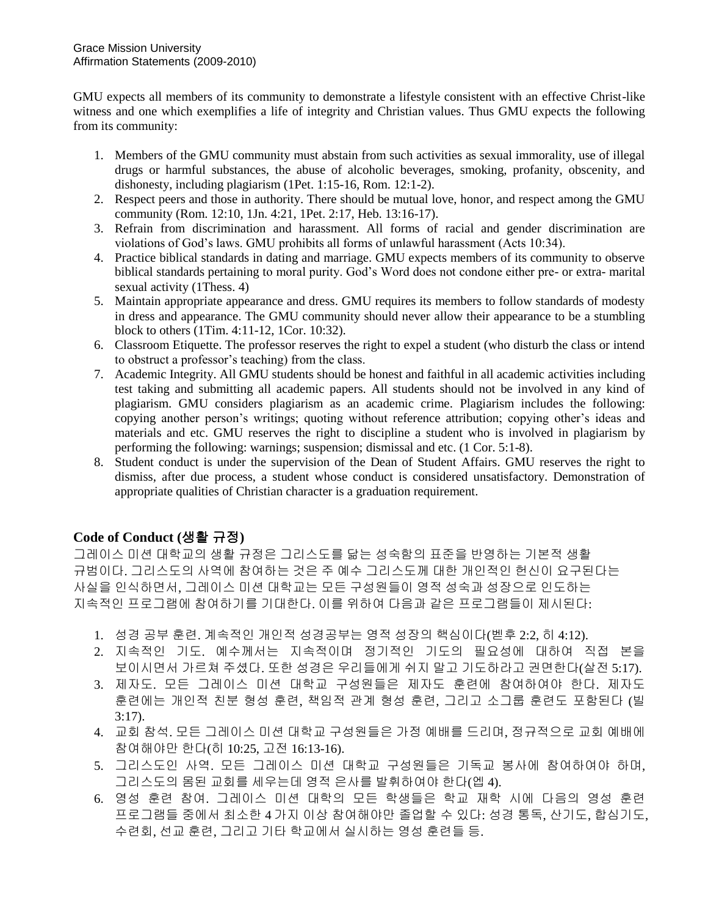GMU expects all members of its community to demonstrate a lifestyle consistent with an effective Christ-like witness and one which exemplifies a life of integrity and Christian values. Thus GMU expects the following from its community:

- 1. Members of the GMU community must abstain from such activities as sexual immorality, use of illegal drugs or harmful substances, the abuse of alcoholic beverages, smoking, profanity, obscenity, and dishonesty, including plagiarism (1Pet. 1:15-16, Rom. 12:1-2).
- 2. Respect peers and those in authority. There should be mutual love, honor, and respect among the GMU community (Rom. 12:10, 1Jn. 4:21, 1Pet. 2:17, Heb. 13:16-17).
- 3. Refrain from discrimination and harassment. All forms of racial and gender discrimination are violations of God's laws. GMU prohibits all forms of unlawful harassment (Acts 10:34).
- 4. Practice biblical standards in dating and marriage. GMU expects members of its community to observe biblical standards pertaining to moral purity. God's Word does not condone either pre- or extra- marital sexual activity (1Thess. 4)
- 5. Maintain appropriate appearance and dress. GMU requires its members to follow standards of modesty in dress and appearance. The GMU community should never allow their appearance to be a stumbling block to others (1Tim. 4:11-12, 1Cor. 10:32).
- 6. Classroom Etiquette. The professor reserves the right to expel a student (who disturb the class or intend to obstruct a professor's teaching) from the class.
- 7. Academic Integrity. All GMU students should be honest and faithful in all academic activities including test taking and submitting all academic papers. All students should not be involved in any kind of plagiarism. GMU considers plagiarism as an academic crime. Plagiarism includes the following: copying another person's writings; quoting without reference attribution; copying other's ideas and materials and etc. GMU reserves the right to discipline a student who is involved in plagiarism by performing the following: warnings; suspension; dismissal and etc. (1 Cor. 5:1-8).
- 8. Student conduct is under the supervision of the Dean of Student Affairs. GMU reserves the right to dismiss, after due process, a student whose conduct is considered unsatisfactory. Demonstration of appropriate qualities of Christian character is a graduation requirement.

## **Code of Conduct (**생활 규정**)**

그레이스 미션 대학교의 생활 규정은 그리스도를 닮는 성숙함의 표준을 반영하는 기본적 생활 규범이다. 그리스도의 사역에 참여하는 것은 주 예수 그리스도께 대한 개인적인 헌신이 요구된다는 사실을 인식하면서, 그레이스 미션 대학교는 모든 구성원들이 영적 성숙과 성장으로 인도하는 지속적인 프로그램에 참여하기를 기대한다. 이를 위하여 다음과 같은 프로그램들이 제시된다:

- 1. 성경 공부 훈련. 계속적인 개인적 성경공부는 영적 성장의 핵심이다(벧후 2:2, 히 4:12).
- 2. 지속적인 기도. 예수께서는 지속적이며 정기적인 기도의 필요성에 대하여 직접 본을 보이시면서 가르쳐 주셨다. 또한 성경은 우리들에게 쉬지 말고 기도하라고 권면한다(살전 5:17).
- 3. 제자도. 모든 그레이스 미션 대학교 구성원들은 제자도 훈련에 참여하여야 한다. 제자도 훈련에는 개인적 친분 형성 훈련, 책임적 관계 형성 훈련, 그리고 소그룹 훈련도 포함된다 (빌 3:17).
- 4. 교회 참석. 모든 그레이스 미션 대학교 구성원들은 가정 예배를 드리며, 정규적으로 교회 예배에 참여해야만 한다(히 10:25, 고전 16:13-16).
- 5. 그리스도인 사역. 모든 그레이스 미션 대학교 구성원들은 기독교 봉사에 참여하여야 하며, 그리스도의 몸된 교회를 세우는데 영적 은사를 발휘하여야 한다(엡 4).
- 6. 영성 훈련 참여. 그레이스 미션 대학의 모든 학생들은 학교 재학 시에 다음의 영성 훈련 프로그램들 중에서 최소한 4 가지 이상 참여해야만 졸업할 수 있다: 성경 통독, 산기도, 합심기도, 수련회, 선교 훈련, 그리고 기타 학교에서 실시하는 영성 훈련들 등.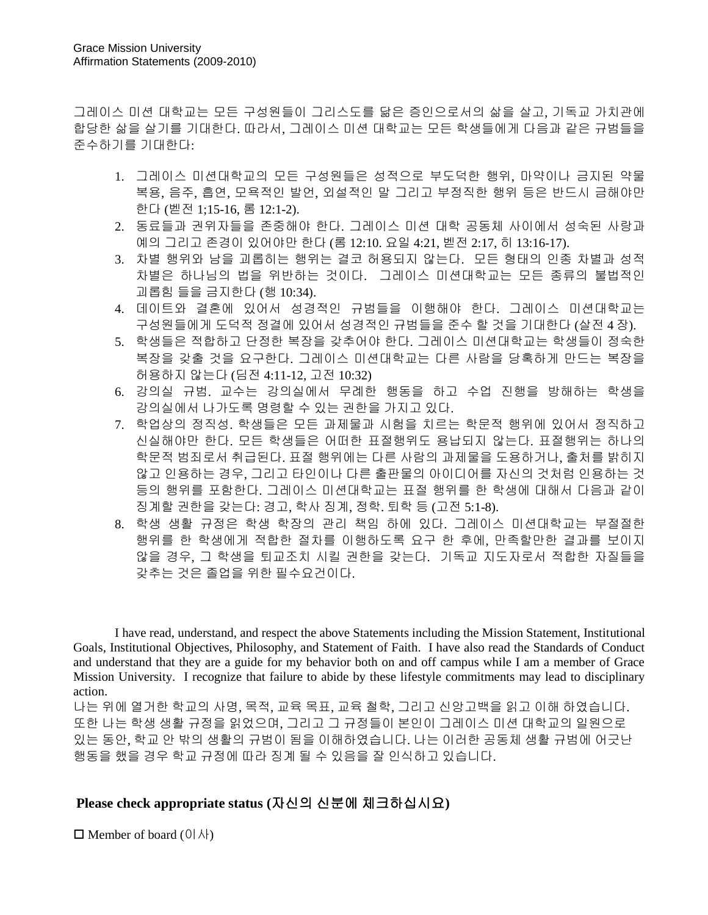그레이스 미션 대학교는 모든 구성원들이 그리스도를 닮은 증인으로서의 삶을 살고, 기독교 가치관에 합당한 삶을 살기를 기대한다. 따라서, 그레이스 미션 대학교는 모든 학생들에게 다음과 같은 규범들을 준수하기를 기대한다:

- 1. 그레이스 미션대학교의 모든 구성원들은 성적으로 부도덕한 행위, 마약이나 금지된 약물 복용, 음주, 흡연, 모욕적인 발언, 외설적인 말 그리고 부정직한 행위 등은 반드시 금해야만 한다 (벧전 1;15-16, 롬 12:1-2).
- 2. 동료들과 권위자들을 존중해야 한다. 그레이스 미션 대학 공동체 사이에서 성숙된 사랑과 예의 그리고 존경이 있어야만 한다 (롬 12:10. 요일 4:21, 벧전 2:17, 히 13:16-17).
- 3. 차별 행위와 남을 괴롭히는 행위는 결코 허용되지 않는다. 모든 형태의 인종 차별과 성적 차별은 하나님의 법을 위반하는 것이다. 그레이스 미션대학교는 모든 종류의 불법적인 괴롭힘 들을 금지한다 (행 10:34).
- 4. 데이트와 결혼에 있어서 성경적인 규범들을 이행해야 한다. 그레이스 미션대학교는 구성원들에게 도덕적 정결에 있어서 성경적인 규범들을 준수 할 것을 기대한다 (살전 4 장).
- 5. 학생들은 적합하고 단정한 복장을 갖추어야 한다. 그레이스 미션대학교는 학생들이 정숙한 복장을 갖출 것을 요구한다. 그레이스 미션대학교는 다른 사람을 당혹하게 만드는 복장을 허용하지 않는다 (딤전 4:11-12, 고전 10:32)
- 6. 강의실 규범. 교수는 강의실에서 무례한 행동을 하고 수업 진행을 방해하는 학생을 강의실에서 나가도록 명령할 수 있는 권한을 가지고 있다.
- 7. 학업상의 정직성. 학생들은 모든 과제물과 시험을 치르는 학문적 행위에 있어서 정직하고 신실해야만 한다. 모든 학생들은 어떠한 표절행위도 용납되지 않는다. 표절행위는 하나의 학문적 범죄로서 취급된다. 표절 행위에는 다른 사람의 과제물을 도용하거나, 출처를 밝히지 않고 인용하는 경우, 그리고 타인이나 다른 출판물의 아이디어를 자신의 것처럼 인용하는 것 등의 행위를 포함한다. 그레이스 미션대학교는 표절 행위를 한 학생에 대해서 다음과 같이 징계할 권한을 갖는다: 경고, 학사 징계, 정학. 퇴학 등 (고전 5:1-8).
- 8. 학생 생활 규정은 학생 학장의 관리 책임 하에 있다. 그레이스 미션대학교는 부절절한 행위를 한 학생에게 적합한 절차를 이행하도록 요구 한 후에, 만족할만한 결과를 보이지 않을 경우, 그 학생을 퇴교조치 시킬 권한을 갖는다. 기독교 지도자로서 적합한 자질들을 갖추는 것은 졸업을 위한 필수요건이다.

I have read, understand, and respect the above Statements including the Mission Statement, Institutional Goals, Institutional Objectives, Philosophy, and Statement of Faith. I have also read the Standards of Conduct and understand that they are a guide for my behavior both on and off campus while I am a member of Grace Mission University. I recognize that failure to abide by these lifestyle commitments may lead to disciplinary action.

나는 위에 열거한 학교의 사명, 목적, 교육 목표, 교육 철학, 그리고 신앙고백을 읽고 이해 하였습니다. 또한 나는 학생 생활 규정을 읽었으며, 그리고 그 규정들이 본인이 그레이스 미션 대학교의 일원으로 있는 동안, 학교 안 밖의 생활의 규범이 됨을 이해하였습니다. 나는 이러한 공동체 생활 규범에 어긋난 행동을 했을 경우 학교 규정에 따라 징계 될 수 있음을 잘 인식하고 있습니다.

## **Please check appropriate status (**자신의 신분에 체크하십시요**)**

 $\Box$  Member of board (이사)